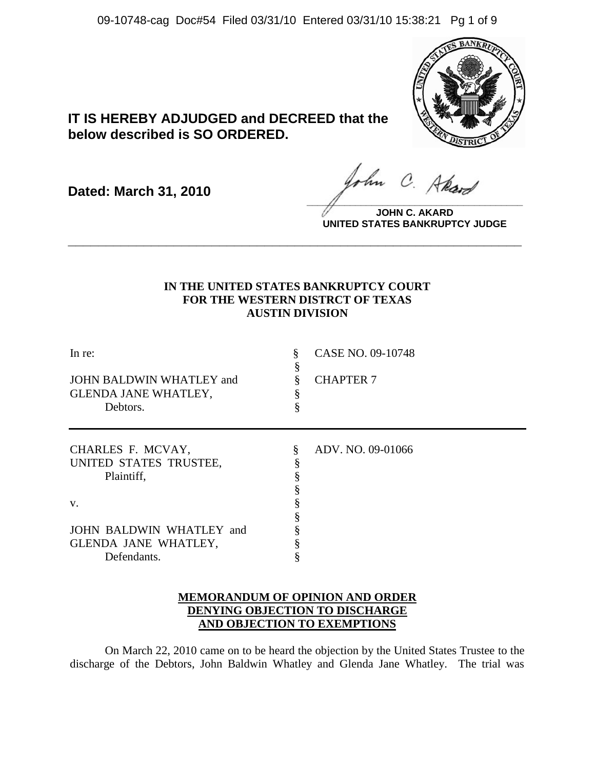09-10748-cag Doc#54 Filed 03/31/10 Entered 03/31/10 15:38:21 Pg 1 of 9



# **IT IS HEREBY ADJUDGED and DECREED that the below described is SO ORDERED.**

**Dated: March 31, 2010**

ohn C. Akard **\_\_\_\_\_\_\_\_\_\_\_\_\_\_\_\_\_\_\_\_\_\_\_\_\_\_\_\_\_\_\_\_\_\_\_\_\_\_\_\_**

**JOHN C. AKARD UNITED STATES BANKRUPTCY JUDGE**

## **IN THE UNITED STATES BANKRUPTCY COURT FOR THE WESTERN DISTRCT OF TEXAS AUSTIN DIVISION**

**\_\_\_\_\_\_\_\_\_\_\_\_\_\_\_\_\_\_\_\_\_\_\_\_\_\_\_\_\_\_\_\_\_\_\_\_\_\_\_\_\_\_\_\_\_\_\_\_\_\_\_\_\_\_\_\_\_\_\_\_**

| In re:                      |   | CASE NO. 09-10748 |
|-----------------------------|---|-------------------|
| JOHN BALDWIN WHATLEY and    |   | <b>CHAPTER 7</b>  |
| <b>GLENDA JANE WHATLEY,</b> |   |                   |
| Debtors.                    |   |                   |
| CHARLES F. MCVAY,           | § | ADV. NO. 09-01066 |
| UNITED STATES TRUSTEE,      |   |                   |
| Plaintiff,                  |   |                   |
|                             |   |                   |
| V.                          |   |                   |
|                             |   |                   |
| JOHN BALDWIN WHATLEY and    |   |                   |
| GLENDA JANE WHATLEY,        |   |                   |
| Defendants.                 | ş |                   |

## **MEMORANDUM OF OPINION AND ORDER DENYING OBJECTION TO DISCHARGE AND OBJECTION TO EXEMPTIONS**

On March 22, 2010 came on to be heard the objection by the United States Trustee to the discharge of the Debtors, John Baldwin Whatley and Glenda Jane Whatley. The trial was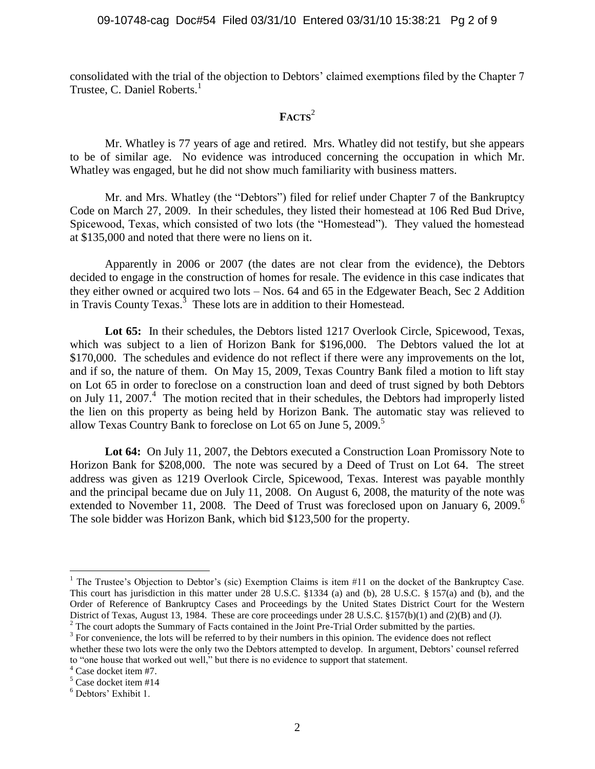consolidated with the trial of the objection to Debtors' claimed exemptions filed by the Chapter 7 Trustee, C. Daniel Roberts.<sup>1</sup>

## **FACTS**<sup>2</sup>

Mr. Whatley is 77 years of age and retired. Mrs. Whatley did not testify, but she appears to be of similar age. No evidence was introduced concerning the occupation in which Mr. Whatley was engaged, but he did not show much familiarity with business matters.

Mr. and Mrs. Whatley (the "Debtors") filed for relief under Chapter 7 of the Bankruptcy Code on March 27, 2009. In their schedules, they listed their homestead at 106 Red Bud Drive, Spicewood, Texas, which consisted of two lots (the "Homestead"). They valued the homestead at \$135,000 and noted that there were no liens on it.

Apparently in 2006 or 2007 (the dates are not clear from the evidence), the Debtors decided to engage in the construction of homes for resale. The evidence in this case indicates that they either owned or acquired two lots – Nos. 64 and 65 in the Edgewater Beach, Sec 2 Addition in Travis County Texas.<sup>3</sup> These lots are in addition to their Homestead.

Lot 65: In their schedules, the Debtors listed 1217 Overlook Circle, Spicewood, Texas, which was subject to a lien of Horizon Bank for \$196,000. The Debtors valued the lot at \$170,000. The schedules and evidence do not reflect if there were any improvements on the lot, and if so, the nature of them. On May 15, 2009, Texas Country Bank filed a motion to lift stay on Lot 65 in order to foreclose on a construction loan and deed of trust signed by both Debtors on July 11, 2007. $4$  The motion recited that in their schedules, the Debtors had improperly listed the lien on this property as being held by Horizon Bank. The automatic stay was relieved to allow Texas Country Bank to foreclose on Lot  $65$  on June 5, 2009.<sup>5</sup>

**Lot 64:** On July 11, 2007, the Debtors executed a Construction Loan Promissory Note to Horizon Bank for \$208,000. The note was secured by a Deed of Trust on Lot 64. The street address was given as 1219 Overlook Circle, Spicewood, Texas. Interest was payable monthly and the principal became due on July 11, 2008. On August 6, 2008, the maturity of the note was extended to November 11, 2008. The Deed of Trust was foreclosed upon on January 6, 2009.<sup>6</sup> The sole bidder was Horizon Bank, which bid \$123,500 for the property.

 $\overline{a}$ 

<sup>&</sup>lt;sup>1</sup> The Trustee's Objection to Debtor's (sic) Exemption Claims is item  $#11$  on the docket of the Bankruptcy Case. This court has jurisdiction in this matter under 28 U.S.C. §1334 (a) and (b), 28 U.S.C. § 157(a) and (b), and the Order of Reference of Bankruptcy Cases and Proceedings by the United States District Court for the Western District of Texas, August 13, 1984. These are core proceedings under 28 U.S.C. §157(b)(1) and (2)(B) and (J).

<sup>&</sup>lt;sup>2</sup> The court adopts the Summary of Facts contained in the Joint Pre-Trial Order submitted by the parties.

 $3$  For convenience, the lots will be referred to by their numbers in this opinion. The evidence does not reflect whether these two lots were the only two the Debtors attempted to develop. In argument, Debtors' counsel referred to "one house that worked out well," but there is no evidence to support that statement.

<sup>4</sup> Case docket item #7.

 $5$  Case docket item #14

<sup>6</sup> Debtors' Exhibit 1.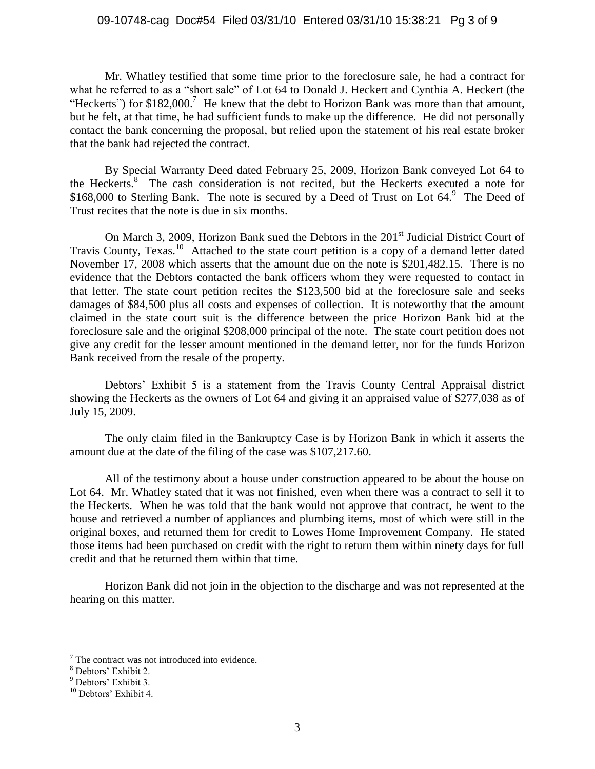### 09-10748-cag Doc#54 Filed 03/31/10 Entered 03/31/10 15:38:21 Pg 3 of 9

Mr. Whatley testified that some time prior to the foreclosure sale, he had a contract for what he referred to as a "short sale" of Lot 64 to Donald J. Heckert and Cynthia A. Heckert (the "Heckerts") for  $$182,000$ .<sup>7</sup> He knew that the debt to Horizon Bank was more than that amount, but he felt, at that time, he had sufficient funds to make up the difference. He did not personally contact the bank concerning the proposal, but relied upon the statement of his real estate broker that the bank had rejected the contract.

By Special Warranty Deed dated February 25, 2009, Horizon Bank conveyed Lot 64 to the Heckerts.<sup>8</sup> The cash consideration is not recited, but the Heckerts executed a note for \$168,000 to Sterling Bank. The note is secured by a Deed of Trust on Lot  $64.9$  The Deed of Trust recites that the note is due in six months.

On March 3, 2009, Horizon Bank sued the Debtors in the 201<sup>st</sup> Judicial District Court of Travis County, Texas.<sup>10</sup> Attached to the state court petition is a copy of a demand letter dated November 17, 2008 which asserts that the amount due on the note is \$201,482.15. There is no evidence that the Debtors contacted the bank officers whom they were requested to contact in that letter. The state court petition recites the \$123,500 bid at the foreclosure sale and seeks damages of \$84,500 plus all costs and expenses of collection. It is noteworthy that the amount claimed in the state court suit is the difference between the price Horizon Bank bid at the foreclosure sale and the original \$208,000 principal of the note. The state court petition does not give any credit for the lesser amount mentioned in the demand letter, nor for the funds Horizon Bank received from the resale of the property.

Debtors' Exhibit 5 is a statement from the Travis County Central Appraisal district showing the Heckerts as the owners of Lot 64 and giving it an appraised value of \$277,038 as of July 15, 2009.

The only claim filed in the Bankruptcy Case is by Horizon Bank in which it asserts the amount due at the date of the filing of the case was \$107,217.60.

All of the testimony about a house under construction appeared to be about the house on Lot 64. Mr. Whatley stated that it was not finished, even when there was a contract to sell it to the Heckerts. When he was told that the bank would not approve that contract, he went to the house and retrieved a number of appliances and plumbing items, most of which were still in the original boxes, and returned them for credit to Lowes Home Improvement Company. He stated those items had been purchased on credit with the right to return them within ninety days for full credit and that he returned them within that time.

Horizon Bank did not join in the objection to the discharge and was not represented at the hearing on this matter.

 $\overline{a}$ 

 $7$  The contract was not introduced into evidence.

<sup>8</sup> Debtors' Exhibit 2.

<sup>9</sup> Debtors' Exhibit 3.

<sup>&</sup>lt;sup>10</sup> Debtors' Exhibit 4.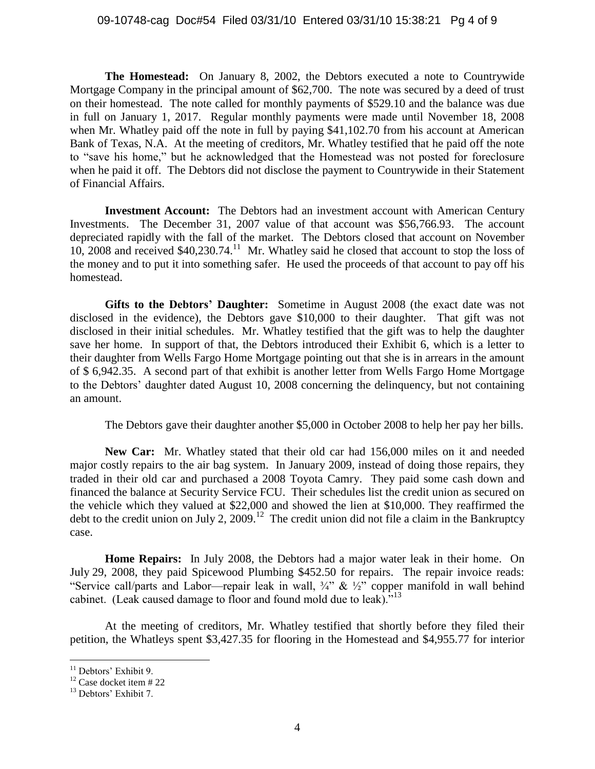**The Homestead:** On January 8, 2002, the Debtors executed a note to Countrywide Mortgage Company in the principal amount of \$62,700. The note was secured by a deed of trust on their homestead. The note called for monthly payments of \$529.10 and the balance was due in full on January 1, 2017. Regular monthly payments were made until November 18, 2008 when Mr. Whatley paid off the note in full by paying \$41,102.70 from his account at American Bank of Texas, N.A. At the meeting of creditors, Mr. Whatley testified that he paid off the note to "save his home," but he acknowledged that the Homestead was not posted for foreclosure when he paid it off. The Debtors did not disclose the payment to Countrywide in their Statement of Financial Affairs.

**Investment Account:** The Debtors had an investment account with American Century Investments. The December 31, 2007 value of that account was \$56,766.93. The account depreciated rapidly with the fall of the market. The Debtors closed that account on November 10, 2008 and received \$40,230.74.<sup>11</sup> Mr. Whatley said he closed that account to stop the loss of the money and to put it into something safer. He used the proceeds of that account to pay off his homestead.

**Gifts to the Debtors' Daughter:** Sometime in August 2008 (the exact date was not disclosed in the evidence), the Debtors gave \$10,000 to their daughter. That gift was not disclosed in their initial schedules. Mr. Whatley testified that the gift was to help the daughter save her home. In support of that, the Debtors introduced their Exhibit 6, which is a letter to their daughter from Wells Fargo Home Mortgage pointing out that she is in arrears in the amount of \$ 6,942.35. A second part of that exhibit is another letter from Wells Fargo Home Mortgage to the Debtors' daughter dated August 10, 2008 concerning the delinquency, but not containing an amount.

The Debtors gave their daughter another \$5,000 in October 2008 to help her pay her bills.

**New Car:** Mr. Whatley stated that their old car had 156,000 miles on it and needed major costly repairs to the air bag system. In January 2009, instead of doing those repairs, they traded in their old car and purchased a 2008 Toyota Camry. They paid some cash down and financed the balance at Security Service FCU. Their schedules list the credit union as secured on the vehicle which they valued at \$22,000 and showed the lien at \$10,000. They reaffirmed the debt to the credit union on July 2, 2009.<sup>12</sup> The credit union did not file a claim in the Bankruptcy case.

**Home Repairs:** In July 2008, the Debtors had a major water leak in their home. On July 29, 2008, they paid Spicewood Plumbing \$452.50 for repairs. The repair invoice reads: "Service call/parts and Labor—repair leak in wall,  $\frac{3}{4}$ " &  $\frac{1}{2}$ " copper manifold in wall behind cabinet. (Leak caused damage to floor and found mold due to leak). $13$ 

At the meeting of creditors, Mr. Whatley testified that shortly before they filed their petition, the Whatleys spent \$3,427.35 for flooring in the Homestead and \$4,955.77 for interior

 $\overline{a}$ 

<sup>&</sup>lt;sup>11</sup> Debtors' Exhibit 9.

 $12$  Case docket item # 22

<sup>&</sup>lt;sup>13</sup> Debtors' Exhibit 7.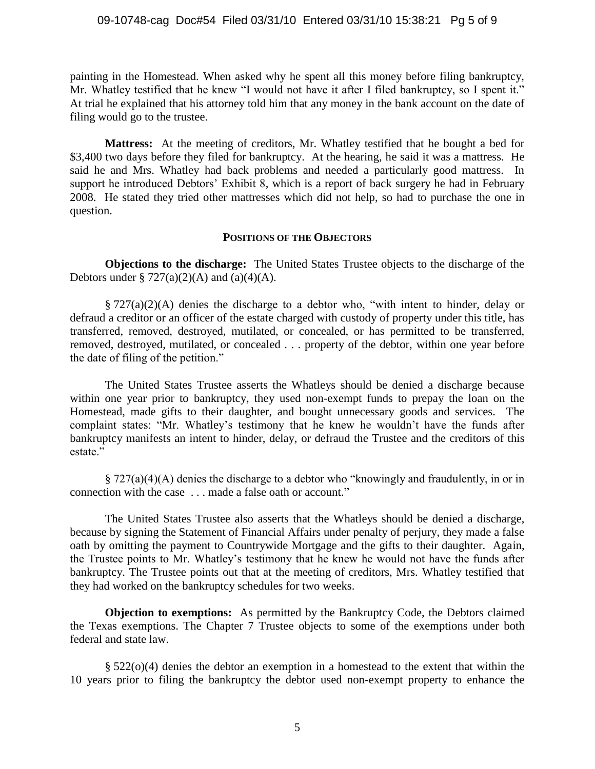#### 09-10748-cag Doc#54 Filed 03/31/10 Entered 03/31/10 15:38:21 Pg 5 of 9

painting in the Homestead. When asked why he spent all this money before filing bankruptcy, Mr. Whatley testified that he knew "I would not have it after I filed bankruptcy, so I spent it." At trial he explained that his attorney told him that any money in the bank account on the date of filing would go to the trustee.

**Mattress:** At the meeting of creditors, Mr. Whatley testified that he bought a bed for \$3,400 two days before they filed for bankruptcy. At the hearing, he said it was a mattress. He said he and Mrs. Whatley had back problems and needed a particularly good mattress. In support he introduced Debtors' Exhibit 8, which is a report of back surgery he had in February 2008. He stated they tried other mattresses which did not help, so had to purchase the one in question.

#### **POSITIONS OF THE OBJECTORS**

**Objections to the discharge:** The United States Trustee objects to the discharge of the Debtors under §  $727(a)(2)(A)$  and  $(a)(4)(A)$ .

 $\S 727(a)(2)(A)$  denies the discharge to a debtor who, "with intent to hinder, delay or defraud a creditor or an officer of the estate charged with custody of property under this title, has transferred, removed, destroyed, mutilated, or concealed, or has permitted to be transferred, removed, destroyed, mutilated, or concealed . . . property of the debtor, within one year before the date of filing of the petition."

The United States Trustee asserts the Whatleys should be denied a discharge because within one year prior to bankruptcy, they used non-exempt funds to prepay the loan on the Homestead, made gifts to their daughter, and bought unnecessary goods and services. The complaint states: "Mr. Whatley's testimony that he knew he wouldn't have the funds after bankruptcy manifests an intent to hinder, delay, or defraud the Trustee and the creditors of this estate."

 $\S 727(a)(4)(A)$  denies the discharge to a debtor who "knowingly and fraudulently, in or in connection with the case . . . made a false oath or account."

The United States Trustee also asserts that the Whatleys should be denied a discharge, because by signing the Statement of Financial Affairs under penalty of perjury, they made a false oath by omitting the payment to Countrywide Mortgage and the gifts to their daughter. Again, the Trustee points to Mr. Whatley's testimony that he knew he would not have the funds after bankruptcy. The Trustee points out that at the meeting of creditors, Mrs. Whatley testified that they had worked on the bankruptcy schedules for two weeks.

**Objection to exemptions:** As permitted by the Bankruptcy Code, the Debtors claimed the Texas exemptions. The Chapter 7 Trustee objects to some of the exemptions under both federal and state law.

 $\S 522(0)(4)$  denies the debtor an exemption in a homestead to the extent that within the 10 years prior to filing the bankruptcy the debtor used non-exempt property to enhance the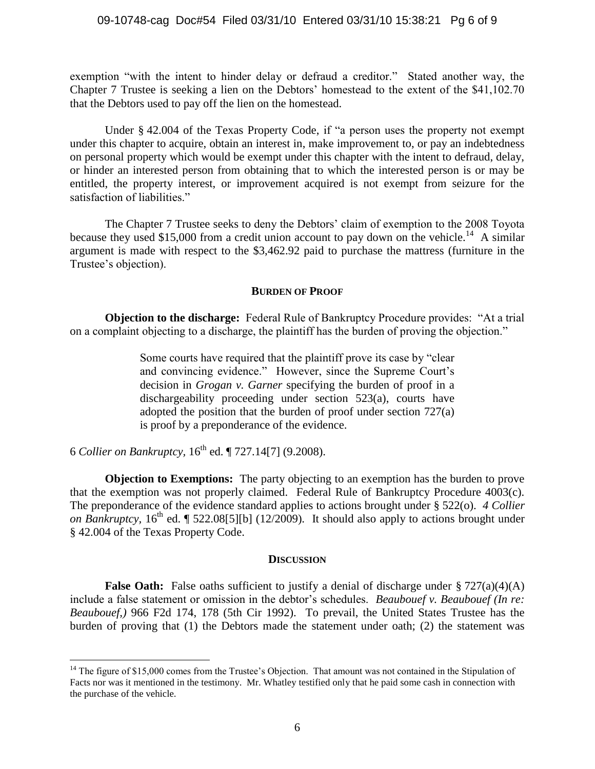exemption "with the intent to hinder delay or defraud a creditor." Stated another way, the Chapter 7 Trustee is seeking a lien on the Debtors' homestead to the extent of the \$41,102.70 that the Debtors used to pay off the lien on the homestead.

Under  $§$  42.004 of the Texas Property Code, if "a person uses the property not exempt under this chapter to acquire, obtain an interest in, make improvement to, or pay an indebtedness on personal property which would be exempt under this chapter with the intent to defraud, delay, or hinder an interested person from obtaining that to which the interested person is or may be entitled, the property interest, or improvement acquired is not exempt from seizure for the satisfaction of liabilities."

The Chapter 7 Trustee seeks to deny the Debtors' claim of exemption to the 2008 Toyota because they used \$15,000 from a credit union account to pay down on the vehicle.<sup>14</sup> A similar argument is made with respect to the \$3,462.92 paid to purchase the mattress (furniture in the Trustee's objection).

### **BURDEN OF PROOF**

**Objection to the discharge:** Federal Rule of Bankruptcy Procedure provides: "At a trial on a complaint objecting to a discharge, the plaintiff has the burden of proving the objection."

> Some courts have required that the plaintiff prove its case by "clear" and convincing evidence." However, since the Supreme Court's decision in *Grogan v. Garner* specifying the burden of proof in a dischargeability proceeding under section 523(a), courts have adopted the position that the burden of proof under section 727(a) is proof by a preponderance of the evidence.

6 *Collier on Bankruptcy*,  $16<sup>th</sup>$  ed. ¶ 727.14[7] (9.2008).

 $\overline{a}$ 

**Objection to Exemptions:** The party objecting to an exemption has the burden to prove that the exemption was not properly claimed. Federal Rule of Bankruptcy Procedure 4003(c). The preponderance of the evidence standard applies to actions brought under § 522(o). *4 Collier on Bankruptcy,* 16<sup>th</sup> ed. [522.08[5][b] (12/2009). It should also apply to actions brought under § 42.004 of the Texas Property Code.

### **DISCUSSION**

**False Oath:** False oaths sufficient to justify a denial of discharge under § 727(a)(4)(A) include a false statement or omission in the debtor's schedules. *Beaubouef v. Beaubouef (In re: Beaubouef,)* 966 F2d 174, 178 (5th Cir 1992). To prevail, the United States Trustee has the burden of proving that (1) the Debtors made the statement under oath; (2) the statement was

<sup>&</sup>lt;sup>14</sup> The figure of \$15,000 comes from the Trustee's Objection. That amount was not contained in the Stipulation of Facts nor was it mentioned in the testimony. Mr. Whatley testified only that he paid some cash in connection with the purchase of the vehicle.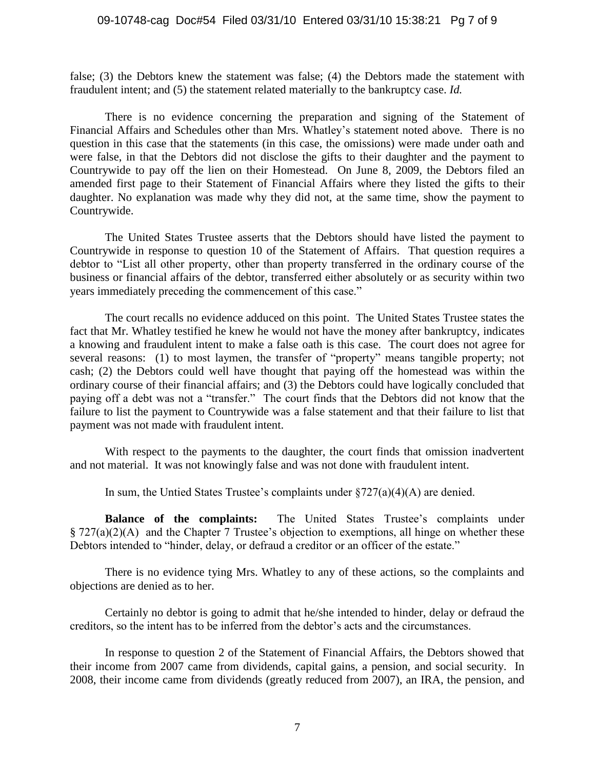#### 09-10748-cag Doc#54 Filed 03/31/10 Entered 03/31/10 15:38:21 Pg 7 of 9

false; (3) the Debtors knew the statement was false; (4) the Debtors made the statement with fraudulent intent; and (5) the statement related materially to the bankruptcy case. *Id.*

There is no evidence concerning the preparation and signing of the Statement of Financial Affairs and Schedules other than Mrs. Whatley's statement noted above. There is no question in this case that the statements (in this case, the omissions) were made under oath and were false, in that the Debtors did not disclose the gifts to their daughter and the payment to Countrywide to pay off the lien on their Homestead. On June 8, 2009, the Debtors filed an amended first page to their Statement of Financial Affairs where they listed the gifts to their daughter. No explanation was made why they did not, at the same time, show the payment to Countrywide.

The United States Trustee asserts that the Debtors should have listed the payment to Countrywide in response to question 10 of the Statement of Affairs. That question requires a debtor to "List all other property, other than property transferred in the ordinary course of the business or financial affairs of the debtor, transferred either absolutely or as security within two years immediately preceding the commencement of this case."

The court recalls no evidence adduced on this point. The United States Trustee states the fact that Mr. Whatley testified he knew he would not have the money after bankruptcy, indicates a knowing and fraudulent intent to make a false oath is this case. The court does not agree for several reasons: (1) to most laymen, the transfer of "property" means tangible property; not cash; (2) the Debtors could well have thought that paying off the homestead was within the ordinary course of their financial affairs; and (3) the Debtors could have logically concluded that paying off a debt was not a "transfer." The court finds that the Debtors did not know that the failure to list the payment to Countrywide was a false statement and that their failure to list that payment was not made with fraudulent intent.

With respect to the payments to the daughter, the court finds that omission inadvertent and not material. It was not knowingly false and was not done with fraudulent intent.

In sum, the Untied States Trustee's complaints under  $\S727(a)(4)(A)$  are denied.

**Balance of the complaints:** The United States Trustee's complaints under § 727(a)(2)(A) and the Chapter 7 Trustee's objection to exemptions, all hinge on whether these Debtors intended to "hinder, delay, or defraud a creditor or an officer of the estate."

There is no evidence tying Mrs. Whatley to any of these actions, so the complaints and objections are denied as to her.

Certainly no debtor is going to admit that he/she intended to hinder, delay or defraud the creditors, so the intent has to be inferred from the debtor's acts and the circumstances.

In response to question 2 of the Statement of Financial Affairs, the Debtors showed that their income from 2007 came from dividends, capital gains, a pension, and social security. In 2008, their income came from dividends (greatly reduced from 2007), an IRA, the pension, and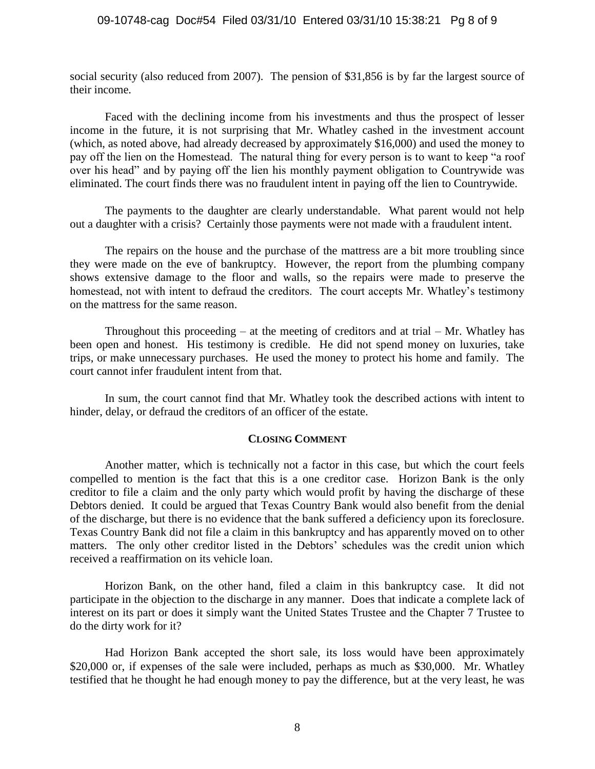#### 09-10748-cag Doc#54 Filed 03/31/10 Entered 03/31/10 15:38:21 Pg 8 of 9

social security (also reduced from 2007). The pension of \$31,856 is by far the largest source of their income.

Faced with the declining income from his investments and thus the prospect of lesser income in the future, it is not surprising that Mr. Whatley cashed in the investment account (which, as noted above, had already decreased by approximately \$16,000) and used the money to pay off the lien on the Homestead. The natural thing for every person is to want to keep "a roof" over his head" and by paying off the lien his monthly payment obligation to Countrywide was eliminated. The court finds there was no fraudulent intent in paying off the lien to Countrywide.

The payments to the daughter are clearly understandable. What parent would not help out a daughter with a crisis? Certainly those payments were not made with a fraudulent intent.

The repairs on the house and the purchase of the mattress are a bit more troubling since they were made on the eve of bankruptcy. However, the report from the plumbing company shows extensive damage to the floor and walls, so the repairs were made to preserve the homestead, not with intent to defraud the creditors. The court accepts Mr. Whatley's testimony on the mattress for the same reason.

Throughout this proceeding  $-$  at the meeting of creditors and at trial  $-$  Mr. Whatley has been open and honest. His testimony is credible. He did not spend money on luxuries, take trips, or make unnecessary purchases. He used the money to protect his home and family. The court cannot infer fraudulent intent from that.

In sum, the court cannot find that Mr. Whatley took the described actions with intent to hinder, delay, or defraud the creditors of an officer of the estate.

#### **CLOSING COMMENT**

Another matter, which is technically not a factor in this case, but which the court feels compelled to mention is the fact that this is a one creditor case. Horizon Bank is the only creditor to file a claim and the only party which would profit by having the discharge of these Debtors denied. It could be argued that Texas Country Bank would also benefit from the denial of the discharge, but there is no evidence that the bank suffered a deficiency upon its foreclosure. Texas Country Bank did not file a claim in this bankruptcy and has apparently moved on to other matters. The only other creditor listed in the Debtors' schedules was the credit union which received a reaffirmation on its vehicle loan.

Horizon Bank, on the other hand, filed a claim in this bankruptcy case. It did not participate in the objection to the discharge in any manner. Does that indicate a complete lack of interest on its part or does it simply want the United States Trustee and the Chapter 7 Trustee to do the dirty work for it?

Had Horizon Bank accepted the short sale, its loss would have been approximately \$20,000 or, if expenses of the sale were included, perhaps as much as \$30,000. Mr. Whatley testified that he thought he had enough money to pay the difference, but at the very least, he was